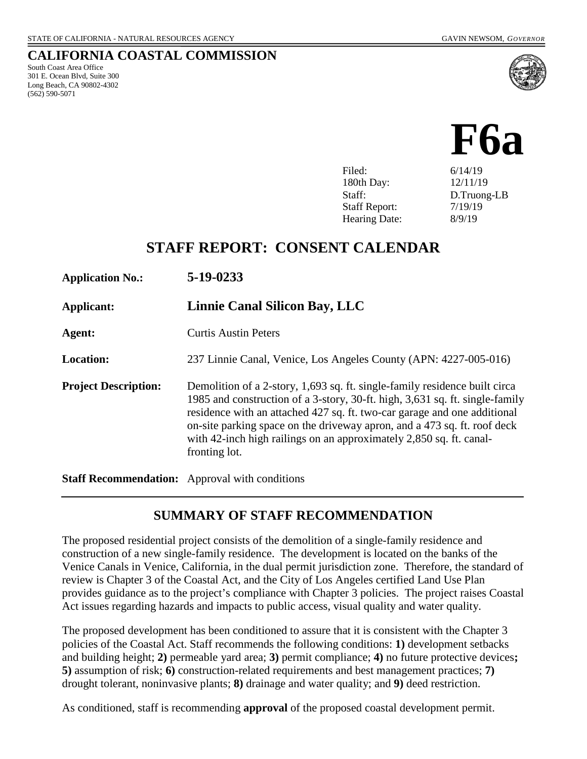South Coast Area Office 301 E. Ocean Blvd, Suite 300 Long Beach, CA 90802-4302

(562) 590-5071

**CALIFORNIA COASTAL COMMISSION**



Filed: 6/14/19 180th Day: 12/11/19 Staff: D.Truong-LB Staff Report:  $7/19/19$ Hearing Date: 8/9/19

# **STAFF REPORT: CONSENT CALENDAR**

| <b>Application No.:</b>     | 5-19-0233                                                                                                                                                                                                                                                                                                                                                                                                  |
|-----------------------------|------------------------------------------------------------------------------------------------------------------------------------------------------------------------------------------------------------------------------------------------------------------------------------------------------------------------------------------------------------------------------------------------------------|
| Applicant:                  | Linnie Canal Silicon Bay, LLC                                                                                                                                                                                                                                                                                                                                                                              |
| Agent:                      | <b>Curtis Austin Peters</b>                                                                                                                                                                                                                                                                                                                                                                                |
| <b>Location:</b>            | 237 Linnie Canal, Venice, Los Angeles County (APN: 4227-005-016)                                                                                                                                                                                                                                                                                                                                           |
| <b>Project Description:</b> | Demolition of a 2-story, 1,693 sq. ft. single-family residence built circa<br>1985 and construction of a 3-story, 30-ft. high, 3,631 sq. ft. single-family<br>residence with an attached 427 sq. ft. two-car garage and one additional<br>on-site parking space on the driveway apron, and a 473 sq. ft. roof deck<br>with 42-inch high railings on an approximately 2,850 sq. ft. canal-<br>fronting lot. |

**Staff Recommendation:** Approval with conditions

## **SUMMARY OF STAFF RECOMMENDATION**

The proposed residential project consists of the demolition of a single-family residence and construction of a new single-family residence. The development is located on the banks of the Venice Canals in Venice, California, in the dual permit jurisdiction zone. Therefore, the standard of review is Chapter 3 of the Coastal Act, and the City of Los Angeles certified Land Use Plan provides guidance as to the project's compliance with Chapter 3 policies. The project raises Coastal Act issues regarding hazards and impacts to public access, visual quality and water quality.

The proposed development has been conditioned to assure that it is consistent with the Chapter 3 policies of the Coastal Act. Staff recommends the following conditions: **1)** development setbacks and building height; **2)** permeable yard area; **3)** permit compliance; **4)** no future protective devices**; 5)** assumption of risk; **6)** construction-related requirements and best management practices; **7)**  drought tolerant, noninvasive plants; **8)** drainage and water quality; and **9)** deed restriction.

As conditioned, staff is recommending **approval** of the proposed coastal development permit.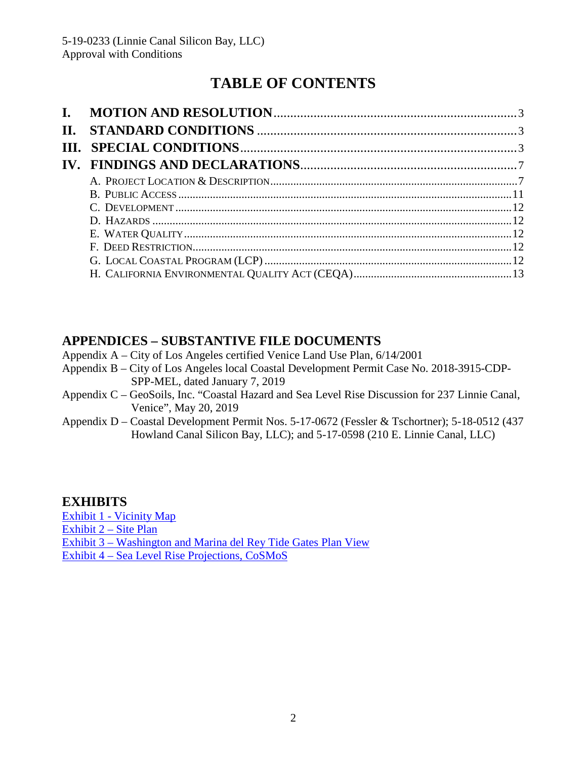# **TABLE OF CONTENTS**

# **APPENDICES – SUBSTANTIVE FILE DOCUMENTS**

- Appendix A City of Los Angeles certified Venice Land Use Plan, 6/14/2001
- Appendix B City of Los Angeles local Coastal Development Permit Case No. 2018-3915-CDP-SPP-MEL, dated January 7, 2019
- Appendix C GeoSoils, Inc. "Coastal Hazard and Sea Level Rise Discussion for 237 Linnie Canal, Venice", May 20, 2019
- Appendix D Coastal Development Permit Nos. 5-17-0672 (Fessler & Tschortner); 5-18-0512 (437 Howland Canal Silicon Bay, LLC); and 5-17-0598 (210 E. Linnie Canal, LLC)

## **EXHIBITS**

Exhibit 1 - [Vicinity Map](https://documents.coastal.ca.gov/reports/2019/8/F6a/F6a-8-2019-exhibits.pdf) [Exhibit 2 –](https://documents.coastal.ca.gov/reports/2019/8/F6a/F6a-8-2019-exhibits.pdf) Site Plan Exhibit 3 – [Washington and Marina del Rey Tide Gates Plan View](https://documents.coastal.ca.gov/reports/2019/8/F6a/F6a-8-2019-exhibits.pdf) Exhibit 4 – [Sea Level Rise Projections, CoSMoS](https://documents.coastal.ca.gov/reports/2019/8/F6a/F6a-8-2019-exhibits.pdf)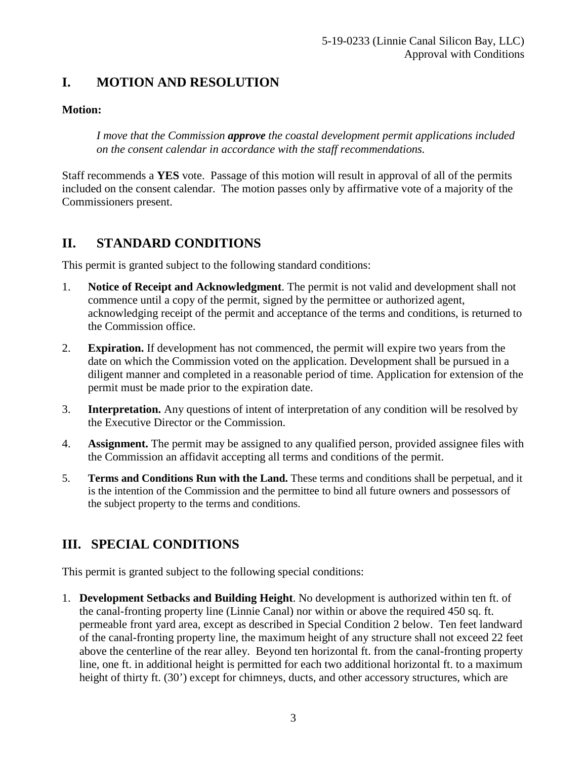# <span id="page-2-0"></span>**I. MOTION AND RESOLUTION**

## **Motion:**

*I move that the Commission approve the coastal development permit applications included on the consent calendar in accordance with the staff recommendations.*

Staff recommends a **YES** vote. Passage of this motion will result in approval of all of the permits included on the consent calendar. The motion passes only by affirmative vote of a majority of the Commissioners present.

# <span id="page-2-1"></span>**II. STANDARD CONDITIONS**

This permit is granted subject to the following standard conditions:

- 1. **Notice of Receipt and Acknowledgment**. The permit is not valid and development shall not commence until a copy of the permit, signed by the permittee or authorized agent, acknowledging receipt of the permit and acceptance of the terms and conditions, is returned to the Commission office.
- 2. **Expiration.** If development has not commenced, the permit will expire two years from the date on which the Commission voted on the application. Development shall be pursued in a diligent manner and completed in a reasonable period of time. Application for extension of the permit must be made prior to the expiration date.
- 3. **Interpretation.** Any questions of intent of interpretation of any condition will be resolved by the Executive Director or the Commission.
- 4. **Assignment.** The permit may be assigned to any qualified person, provided assignee files with the Commission an affidavit accepting all terms and conditions of the permit.
- 5. **Terms and Conditions Run with the Land.** These terms and conditions shall be perpetual, and it is the intention of the Commission and the permittee to bind all future owners and possessors of the subject property to the terms and conditions.

# <span id="page-2-2"></span>**III. SPECIAL CONDITIONS**

This permit is granted subject to the following special conditions:

1. **Development Setbacks and Building Height**. No development is authorized within ten ft. of the canal-fronting property line (Linnie Canal) nor within or above the required 450 sq. ft. permeable front yard area, except as described in Special Condition 2 below. Ten feet landward of the canal-fronting property line, the maximum height of any structure shall not exceed 22 feet above the centerline of the rear alley. Beyond ten horizontal ft. from the canal-fronting property line, one ft. in additional height is permitted for each two additional horizontal ft. to a maximum height of thirty ft. (30') except for chimneys, ducts, and other accessory structures, which are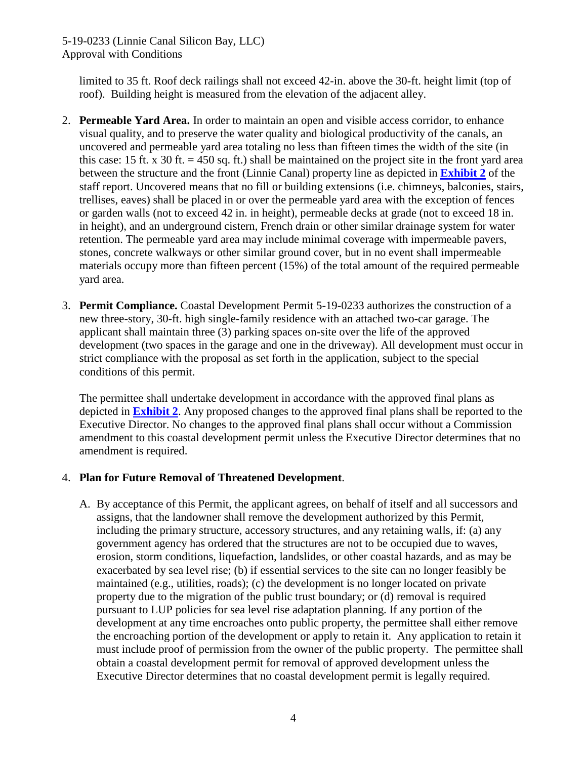5-19-0233 (Linnie Canal Silicon Bay, LLC) Approval with Conditions

limited to 35 ft. Roof deck railings shall not exceed 42-in. above the 30-ft. height limit (top of roof). Building height is measured from the elevation of the adjacent alley.

- 2. **Permeable Yard Area.** In order to maintain an open and visible access corridor, to enhance visual quality, and to preserve the water quality and biological productivity of the canals, an uncovered and permeable yard area totaling no less than fifteen times the width of the site (in this case: 15 ft. x 30 ft.  $=$  450 sq. ft.) shall be maintained on the project site in the front yard area between the structure and the front (Linnie Canal) property line as depicted in **[Exhibit 2](https://documents.coastal.ca.gov/reports/2019/8/F6a/F6a-8-2019-exhibits.pdf)** of the staff report. Uncovered means that no fill or building extensions (i.e. chimneys, balconies, stairs, trellises, eaves) shall be placed in or over the permeable yard area with the exception of fences or garden walls (not to exceed 42 in. in height), permeable decks at grade (not to exceed 18 in. in height), and an underground cistern, French drain or other similar drainage system for water retention. The permeable yard area may include minimal coverage with impermeable pavers, stones, concrete walkways or other similar ground cover, but in no event shall impermeable materials occupy more than fifteen percent (15%) of the total amount of the required permeable yard area.
- 3. **Permit Compliance.** Coastal Development Permit 5-19-0233 authorizes the construction of a new three-story, 30-ft. high single-family residence with an attached two-car garage. The applicant shall maintain three (3) parking spaces on-site over the life of the approved development (two spaces in the garage and one in the driveway). All development must occur in strict compliance with the proposal as set forth in the application, subject to the special conditions of this permit.

The permittee shall undertake development in accordance with the approved final plans as depicted in **[Exhibit 2](https://documents.coastal.ca.gov/reports/2019/8/F6a/F6a-8-2019-exhibits.pdf)**. Any proposed changes to the approved final plans shall be reported to the Executive Director. No changes to the approved final plans shall occur without a Commission amendment to this coastal development permit unless the Executive Director determines that no amendment is required.

#### 4. **Plan for Future Removal of Threatened Development**.

A. By acceptance of this Permit, the applicant agrees, on behalf of itself and all successors and assigns, that the landowner shall remove the development authorized by this Permit, including the primary structure, accessory structures, and any retaining walls, if: (a) any government agency has ordered that the structures are not to be occupied due to waves, erosion, storm conditions, liquefaction, landslides, or other coastal hazards, and as may be exacerbated by sea level rise; (b) if essential services to the site can no longer feasibly be maintained (e.g., utilities, roads); (c) the development is no longer located on private property due to the migration of the public trust boundary; or (d) removal is required pursuant to LUP policies for sea level rise adaptation planning. If any portion of the development at any time encroaches onto public property, the permittee shall either remove the encroaching portion of the development or apply to retain it. Any application to retain it must include proof of permission from the owner of the public property. The permittee shall obtain a coastal development permit for removal of approved development unless the Executive Director determines that no coastal development permit is legally required.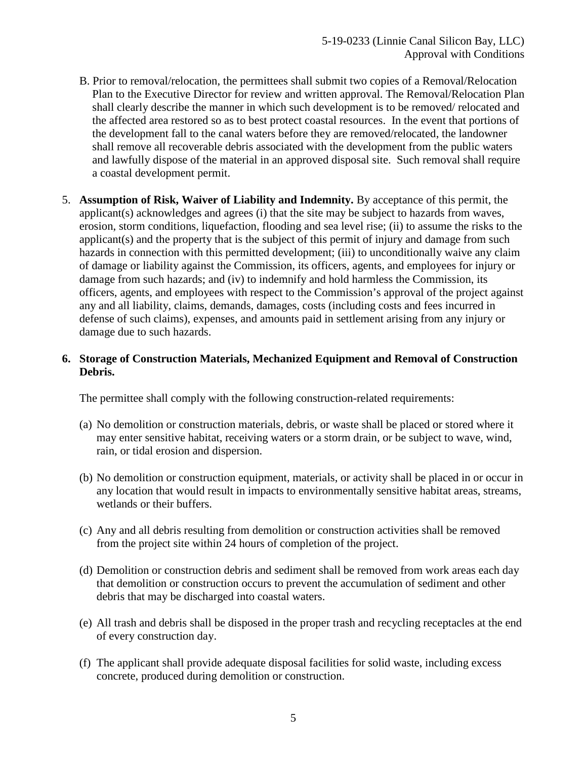- B. Prior to removal/relocation, the permittees shall submit two copies of a Removal/Relocation Plan to the Executive Director for review and written approval. The Removal/Relocation Plan shall clearly describe the manner in which such development is to be removed/ relocated and the affected area restored so as to best protect coastal resources. In the event that portions of the development fall to the canal waters before they are removed/relocated, the landowner shall remove all recoverable debris associated with the development from the public waters and lawfully dispose of the material in an approved disposal site. Such removal shall require a coastal development permit.
- 5. **Assumption of Risk, Waiver of Liability and Indemnity.** By acceptance of this permit, the applicant(s) acknowledges and agrees (i) that the site may be subject to hazards from waves, erosion, storm conditions, liquefaction, flooding and sea level rise; (ii) to assume the risks to the applicant(s) and the property that is the subject of this permit of injury and damage from such hazards in connection with this permitted development; (iii) to unconditionally waive any claim of damage or liability against the Commission, its officers, agents, and employees for injury or damage from such hazards; and (iv) to indemnify and hold harmless the Commission, its officers, agents, and employees with respect to the Commission's approval of the project against any and all liability, claims, demands, damages, costs (including costs and fees incurred in defense of such claims), expenses, and amounts paid in settlement arising from any injury or damage due to such hazards.

#### **6. Storage of Construction Materials, Mechanized Equipment and Removal of Construction Debris.**

The permittee shall comply with the following construction-related requirements:

- (a) No demolition or construction materials, debris, or waste shall be placed or stored where it may enter sensitive habitat, receiving waters or a storm drain, or be subject to wave, wind, rain, or tidal erosion and dispersion.
- (b) No demolition or construction equipment, materials, or activity shall be placed in or occur in any location that would result in impacts to environmentally sensitive habitat areas, streams, wetlands or their buffers.
- (c) Any and all debris resulting from demolition or construction activities shall be removed from the project site within 24 hours of completion of the project.
- (d) Demolition or construction debris and sediment shall be removed from work areas each day that demolition or construction occurs to prevent the accumulation of sediment and other debris that may be discharged into coastal waters.
- (e) All trash and debris shall be disposed in the proper trash and recycling receptacles at the end of every construction day.
- (f) The applicant shall provide adequate disposal facilities for solid waste, including excess concrete, produced during demolition or construction.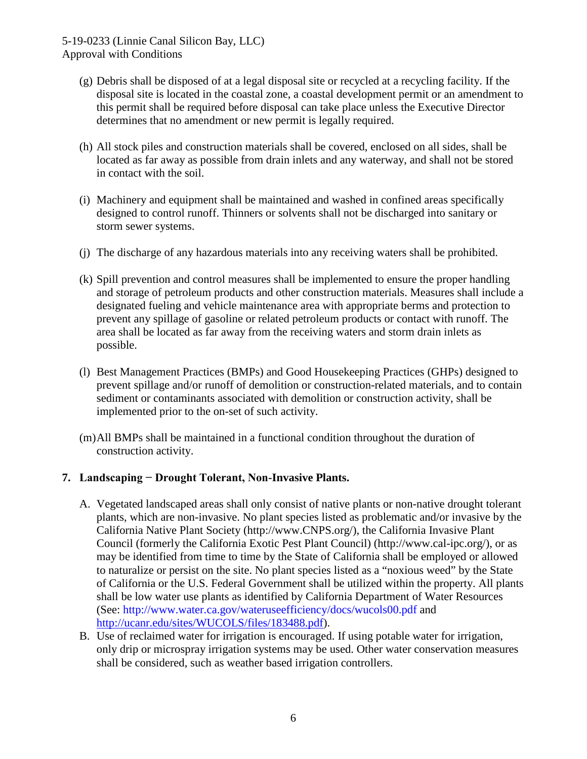- (g) Debris shall be disposed of at a legal disposal site or recycled at a recycling facility. If the disposal site is located in the coastal zone, a coastal development permit or an amendment to this permit shall be required before disposal can take place unless the Executive Director determines that no amendment or new permit is legally required.
- (h) All stock piles and construction materials shall be covered, enclosed on all sides, shall be located as far away as possible from drain inlets and any waterway, and shall not be stored in contact with the soil.
- (i) Machinery and equipment shall be maintained and washed in confined areas specifically designed to control runoff. Thinners or solvents shall not be discharged into sanitary or storm sewer systems.
- (j) The discharge of any hazardous materials into any receiving waters shall be prohibited.
- (k) Spill prevention and control measures shall be implemented to ensure the proper handling and storage of petroleum products and other construction materials. Measures shall include a designated fueling and vehicle maintenance area with appropriate berms and protection to prevent any spillage of gasoline or related petroleum products or contact with runoff. The area shall be located as far away from the receiving waters and storm drain inlets as possible.
- (l) Best Management Practices (BMPs) and Good Housekeeping Practices (GHPs) designed to prevent spillage and/or runoff of demolition or construction-related materials, and to contain sediment or contaminants associated with demolition or construction activity, shall be implemented prior to the on-set of such activity.
- (m)All BMPs shall be maintained in a functional condition throughout the duration of construction activity.

#### **7. Landscaping − Drought Tolerant, Non-Invasive Plants.**

- A. Vegetated landscaped areas shall only consist of native plants or non-native drought tolerant plants, which are non-invasive. No plant species listed as problematic and/or invasive by the California Native Plant Society (http://www.CNPS.org/), the California Invasive Plant Council (formerly the California Exotic Pest Plant Council) (http://www.cal-ipc.org/), or as may be identified from time to time by the State of California shall be employed or allowed to naturalize or persist on the site. No plant species listed as a "noxious weed" by the State of California or the U.S. Federal Government shall be utilized within the property. All plants shall be low water use plants as identified by California Department of Water Resources (See: http://www.water.ca.gov/wateruseefficiency/docs/wucols00.pdf and [http://ucanr.edu/sites/WUCOLS/files/183488.pdf\)](http://ucanr.edu/sites/WUCOLS/files/183488.pdf).
- B. Use of reclaimed water for irrigation is encouraged. If using potable water for irrigation, only drip or microspray irrigation systems may be used. Other water conservation measures shall be considered, such as weather based irrigation controllers.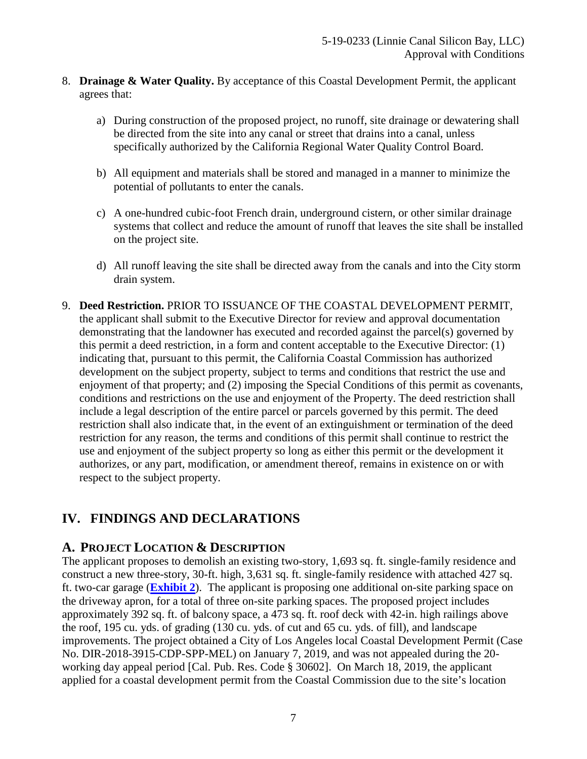- 8. **Drainage & Water Quality.** By acceptance of this Coastal Development Permit, the applicant agrees that:
	- a) During construction of the proposed project, no runoff, site drainage or dewatering shall be directed from the site into any canal or street that drains into a canal, unless specifically authorized by the California Regional Water Quality Control Board.
	- b) All equipment and materials shall be stored and managed in a manner to minimize the potential of pollutants to enter the canals.
	- c) A one-hundred cubic-foot French drain, underground cistern, or other similar drainage systems that collect and reduce the amount of runoff that leaves the site shall be installed on the project site.
	- d) All runoff leaving the site shall be directed away from the canals and into the City storm drain system.
- 9. **Deed Restriction.** PRIOR TO ISSUANCE OF THE COASTAL DEVELOPMENT PERMIT, the applicant shall submit to the Executive Director for review and approval documentation demonstrating that the landowner has executed and recorded against the parcel(s) governed by this permit a deed restriction, in a form and content acceptable to the Executive Director: (1) indicating that, pursuant to this permit, the California Coastal Commission has authorized development on the subject property, subject to terms and conditions that restrict the use and enjoyment of that property; and (2) imposing the Special Conditions of this permit as covenants, conditions and restrictions on the use and enjoyment of the Property. The deed restriction shall include a legal description of the entire parcel or parcels governed by this permit. The deed restriction shall also indicate that, in the event of an extinguishment or termination of the deed restriction for any reason, the terms and conditions of this permit shall continue to restrict the use and enjoyment of the subject property so long as either this permit or the development it authorizes, or any part, modification, or amendment thereof, remains in existence on or with respect to the subject property.

# <span id="page-6-0"></span>**IV. FINDINGS AND DECLARATIONS**

## <span id="page-6-1"></span>**A. PROJECT LOCATION & DESCRIPTION**

The applicant proposes to demolish an existing two-story, 1,693 sq. ft. single-family residence and construct a new three-story, 30-ft. high, 3,631 sq. ft. single-family residence with attached 427 sq. ft. two-car garage (**[Exhibit 2](https://documents.coastal.ca.gov/reports/2019/8/F6a/F6a-8-2019-exhibits.pdf)**). The applicant is proposing one additional on-site parking space on the driveway apron, for a total of three on-site parking spaces. The proposed project includes approximately 392 sq. ft. of balcony space, a 473 sq. ft. roof deck with 42-in. high railings above the roof, 195 cu. yds. of grading (130 cu. yds. of cut and 65 cu. yds. of fill), and landscape improvements. The project obtained a City of Los Angeles local Coastal Development Permit (Case No. DIR-2018-3915-CDP-SPP-MEL) on January 7, 2019, and was not appealed during the 20 working day appeal period [Cal. Pub. Res. Code § 30602]. On March 18, 2019, the applicant applied for a coastal development permit from the Coastal Commission due to the site's location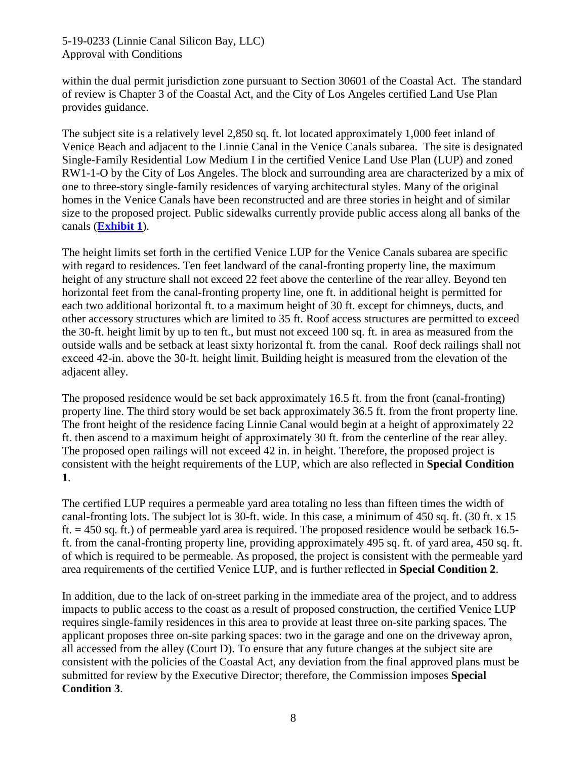#### 5-19-0233 (Linnie Canal Silicon Bay, LLC) Approval with Conditions

within the dual permit jurisdiction zone pursuant to Section 30601 of the Coastal Act. The standard of review is Chapter 3 of the Coastal Act, and the City of Los Angeles certified Land Use Plan provides guidance.

The subject site is a relatively level 2,850 sq. ft. lot located approximately 1,000 feet inland of Venice Beach and adjacent to the Linnie Canal in the Venice Canals subarea. The site is designated Single-Family Residential Low Medium I in the certified Venice Land Use Plan (LUP) and zoned RW1-1-O by the City of Los Angeles. The block and surrounding area are characterized by a mix of one to three-story single-family residences of varying architectural styles. Many of the original homes in the Venice Canals have been reconstructed and are three stories in height and of similar size to the proposed project. Public sidewalks currently provide public access along all banks of the canals (**[Exhibit 1](https://documents.coastal.ca.gov/reports/2019/8/F6a/F6a-8-2019-exhibits.pdf)**).

The height limits set forth in the certified Venice LUP for the Venice Canals subarea are specific with regard to residences. Ten feet landward of the canal-fronting property line, the maximum height of any structure shall not exceed 22 feet above the centerline of the rear alley. Beyond ten horizontal feet from the canal-fronting property line, one ft. in additional height is permitted for each two additional horizontal ft. to a maximum height of 30 ft. except for chimneys, ducts, and other accessory structures which are limited to 35 ft. Roof access structures are permitted to exceed the 30-ft. height limit by up to ten ft., but must not exceed 100 sq. ft. in area as measured from the outside walls and be setback at least sixty horizontal ft. from the canal. Roof deck railings shall not exceed 42-in. above the 30-ft. height limit. Building height is measured from the elevation of the adjacent alley.

The proposed residence would be set back approximately 16.5 ft. from the front (canal-fronting) property line. The third story would be set back approximately 36.5 ft. from the front property line. The front height of the residence facing Linnie Canal would begin at a height of approximately 22 ft. then ascend to a maximum height of approximately 30 ft. from the centerline of the rear alley. The proposed open railings will not exceed 42 in. in height. Therefore, the proposed project is consistent with the height requirements of the LUP, which are also reflected in **Special Condition 1**.

The certified LUP requires a permeable yard area totaling no less than fifteen times the width of canal-fronting lots. The subject lot is 30-ft. wide. In this case, a minimum of 450 sq. ft. (30 ft. x 15 ft. = 450 sq. ft.) of permeable yard area is required. The proposed residence would be setback 16.5 ft. from the canal-fronting property line, providing approximately 495 sq. ft. of yard area, 450 sq. ft. of which is required to be permeable. As proposed, the project is consistent with the permeable yard area requirements of the certified Venice LUP, and is further reflected in **Special Condition 2**.

In addition, due to the lack of on-street parking in the immediate area of the project, and to address impacts to public access to the coast as a result of proposed construction, the certified Venice LUP requires single-family residences in this area to provide at least three on-site parking spaces. The applicant proposes three on-site parking spaces: two in the garage and one on the driveway apron, all accessed from the alley (Court D). To ensure that any future changes at the subject site are consistent with the policies of the Coastal Act, any deviation from the final approved plans must be submitted for review by the Executive Director; therefore, the Commission imposes **Special Condition 3**.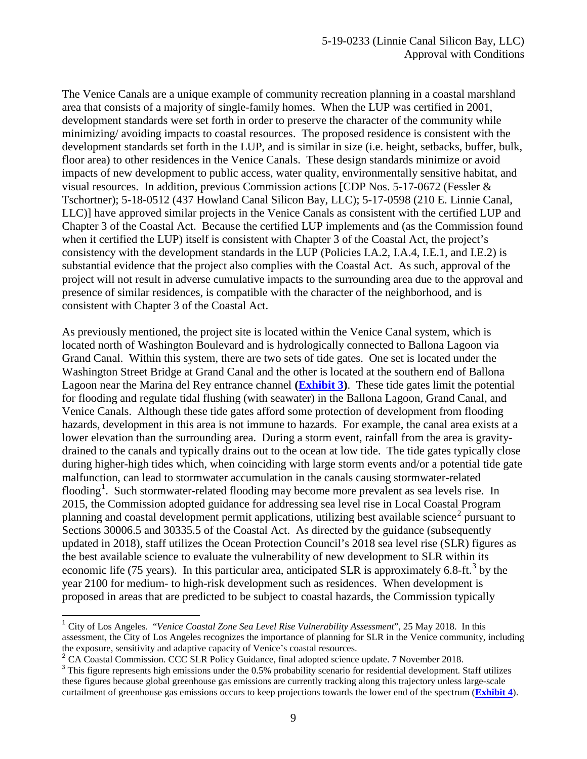The Venice Canals are a unique example of community recreation planning in a coastal marshland area that consists of a majority of single-family homes. When the LUP was certified in 2001, development standards were set forth in order to preserve the character of the community while minimizing/ avoiding impacts to coastal resources. The proposed residence is consistent with the development standards set forth in the LUP, and is similar in size (i.e. height, setbacks, buffer, bulk, floor area) to other residences in the Venice Canals. These design standards minimize or avoid impacts of new development to public access, water quality, environmentally sensitive habitat, and visual resources. In addition, previous Commission actions [CDP Nos. 5-17-0672 (Fessler & Tschortner); 5-18-0512 (437 Howland Canal Silicon Bay, LLC); 5-17-0598 (210 E. Linnie Canal, LLC)] have approved similar projects in the Venice Canals as consistent with the certified LUP and Chapter 3 of the Coastal Act. Because the certified LUP implements and (as the Commission found when it certified the LUP) itself is consistent with Chapter 3 of the Coastal Act, the project's consistency with the development standards in the LUP (Policies I.A.2, I.A.4, I.E.1, and I.E.2) is substantial evidence that the project also complies with the Coastal Act. As such, approval of the project will not result in adverse cumulative impacts to the surrounding area due to the approval and presence of similar residences, is compatible with the character of the neighborhood, and is consistent with Chapter 3 of the Coastal Act.

As previously mentioned, the project site is located within the Venice Canal system, which is located north of Washington Boulevard and is hydrologically connected to Ballona Lagoon via Grand Canal. Within this system, there are two sets of tide gates. One set is located under the Washington Street Bridge at Grand Canal and the other is located at the southern end of Ballona Lagoon near the Marina del Rey entrance channel **[\(Exhibit 3\)](https://documents.coastal.ca.gov/reports/2019/8/F6a/F6a-8-2019-exhibits.pdf)**. These tide gates limit the potential for flooding and regulate tidal flushing (with seawater) in the Ballona Lagoon, Grand Canal, and Venice Canals. Although these tide gates afford some protection of development from flooding hazards, development in this area is not immune to hazards. For example, the canal area exists at a lower elevation than the surrounding area. During a storm event, rainfall from the area is gravitydrained to the canals and typically drains out to the ocean at low tide. The tide gates typically close during higher-high tides which, when coinciding with large storm events and/or a potential tide gate malfunction, can lead to stormwater accumulation in the canals causing stormwater-related flooding<sup>[1](#page-8-0)</sup>. Such stormwater-related flooding may become more prevalent as sea levels rise. In 2015, the Commission adopted guidance for addressing sea level rise in Local Coastal Program planning and coastal development permit applications, utilizing best available science<sup>[2](#page-8-1)</sup> pursuant to Sections 30006.5 and 30335.5 of the Coastal Act. As directed by the guidance (subsequently updated in 2018), staff utilizes the Ocean Protection Council's 2018 sea level rise (SLR) figures as the best available science to evaluate the vulnerability of new development to SLR within its economic life (75 years). In this particular area, anticipated SLR is approximately 6.8-ft.<sup>[3](#page-8-2)</sup> by the year 2100 for medium- to high-risk development such as residences. When development is proposed in areas that are predicted to be subject to coastal hazards, the Commission typically

<span id="page-8-0"></span><sup>1</sup> City of Los Angeles. "*Venice Coastal Zone Sea Level Rise Vulnerability Assessment*", 25 May 2018. In this assessment, the City of Los Angeles recognizes the importance of planning for SLR in the Venice community, including the exposure, sensitivity and adaptive capacity of Venice's coastal resources.<br><sup>2</sup> CA Coastal Commission. CCC SLR Policy Guidance, final adopted science update. 7 November 2018.

<span id="page-8-1"></span>

<span id="page-8-2"></span> $3$  This figure represents high emissions under the 0.5% probability scenario for residential development. Staff utilizes these figures because global greenhouse gas emissions are currently tracking along this trajectory unless large-scale curtailment of greenhouse gas emissions occurs to keep projections towards the lower end of the spectrum (**[Exhibit 4](https://documents.coastal.ca.gov/reports/2019/8/F6a/F6a-8-2019-exhibits.pdf)**).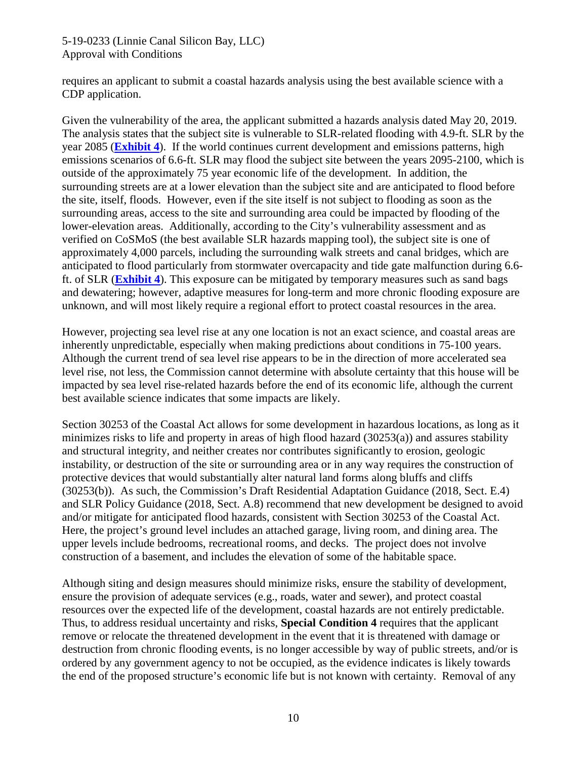#### 5-19-0233 (Linnie Canal Silicon Bay, LLC) Approval with Conditions

requires an applicant to submit a coastal hazards analysis using the best available science with a CDP application.

Given the vulnerability of the area, the applicant submitted a hazards analysis dated May 20, 2019. The analysis states that the subject site is vulnerable to SLR-related flooding with 4.9-ft. SLR by the year 2085 (**[Exhibit 4](https://documents.coastal.ca.gov/reports/2019/8/F6a/F6a-8-2019-exhibits.pdf)**). If the world continues current development and emissions patterns, high emissions scenarios of 6.6-ft. SLR may flood the subject site between the years 2095-2100, which is outside of the approximately 75 year economic life of the development. In addition, the surrounding streets are at a lower elevation than the subject site and are anticipated to flood before the site, itself, floods. However, even if the site itself is not subject to flooding as soon as the surrounding areas, access to the site and surrounding area could be impacted by flooding of the lower-elevation areas. Additionally, according to the City's vulnerability assessment and as verified on CoSMoS (the best available SLR hazards mapping tool), the subject site is one of approximately 4,000 parcels, including the surrounding walk streets and canal bridges, which are anticipated to flood particularly from stormwater overcapacity and tide gate malfunction during 6.6 ft. of SLR (**[Exhibit 4](https://documents.coastal.ca.gov/reports/2019/8/F6a/F6a-8-2019-exhibits.pdf)**). This exposure can be mitigated by temporary measures such as sand bags and dewatering; however, adaptive measures for long-term and more chronic flooding exposure are unknown, and will most likely require a regional effort to protect coastal resources in the area.

However, projecting sea level rise at any one location is not an exact science, and coastal areas are inherently unpredictable, especially when making predictions about conditions in 75-100 years. Although the current trend of sea level rise appears to be in the direction of more accelerated sea level rise, not less, the Commission cannot determine with absolute certainty that this house will be impacted by sea level rise-related hazards before the end of its economic life, although the current best available science indicates that some impacts are likely.

Section 30253 of the Coastal Act allows for some development in hazardous locations, as long as it minimizes risks to life and property in areas of high flood hazard (30253(a)) and assures stability and structural integrity, and neither creates nor contributes significantly to erosion, geologic instability, or destruction of the site or surrounding area or in any way requires the construction of protective devices that would substantially alter natural land forms along bluffs and cliffs (30253(b)). As such, the Commission's Draft Residential Adaptation Guidance (2018, Sect. E.4) and SLR Policy Guidance (2018, Sect. A.8) recommend that new development be designed to avoid and/or mitigate for anticipated flood hazards, consistent with Section 30253 of the Coastal Act. Here, the project's ground level includes an attached garage, living room, and dining area. The upper levels include bedrooms, recreational rooms, and decks. The project does not involve construction of a basement, and includes the elevation of some of the habitable space.

Although siting and design measures should minimize risks, ensure the stability of development, ensure the provision of adequate services (e.g., roads, water and sewer), and protect coastal resources over the expected life of the development, coastal hazards are not entirely predictable. Thus, to address residual uncertainty and risks, **Special Condition 4** requires that the applicant remove or relocate the threatened development in the event that it is threatened with damage or destruction from chronic flooding events, is no longer accessible by way of public streets, and/or is ordered by any government agency to not be occupied, as the evidence indicates is likely towards the end of the proposed structure's economic life but is not known with certainty. Removal of any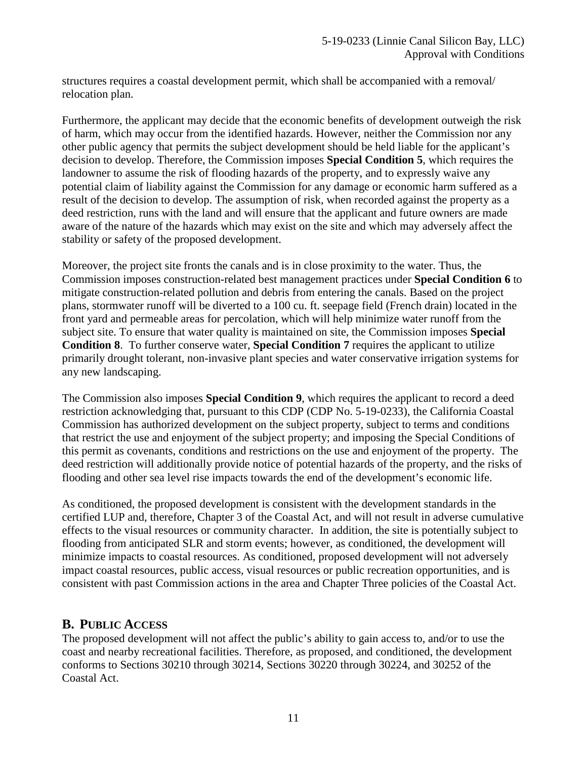structures requires a coastal development permit, which shall be accompanied with a removal/ relocation plan.

Furthermore, the applicant may decide that the economic benefits of development outweigh the risk of harm, which may occur from the identified hazards. However, neither the Commission nor any other public agency that permits the subject development should be held liable for the applicant's decision to develop. Therefore, the Commission imposes **Special Condition 5**, which requires the landowner to assume the risk of flooding hazards of the property, and to expressly waive any potential claim of liability against the Commission for any damage or economic harm suffered as a result of the decision to develop. The assumption of risk, when recorded against the property as a deed restriction, runs with the land and will ensure that the applicant and future owners are made aware of the nature of the hazards which may exist on the site and which may adversely affect the stability or safety of the proposed development.

Moreover, the project site fronts the canals and is in close proximity to the water. Thus, the Commission imposes construction-related best management practices under **Special Condition 6** to mitigate construction-related pollution and debris from entering the canals. Based on the project plans, stormwater runoff will be diverted to a 100 cu. ft. seepage field (French drain) located in the front yard and permeable areas for percolation, which will help minimize water runoff from the subject site. To ensure that water quality is maintained on site, the Commission imposes **Special Condition 8**. To further conserve water, **Special Condition 7** requires the applicant to utilize primarily drought tolerant, non-invasive plant species and water conservative irrigation systems for any new landscaping.

The Commission also imposes **Special Condition 9**, which requires the applicant to record a deed restriction acknowledging that, pursuant to this CDP (CDP No. 5-19-0233), the California Coastal Commission has authorized development on the subject property, subject to terms and conditions that restrict the use and enjoyment of the subject property; and imposing the Special Conditions of this permit as covenants, conditions and restrictions on the use and enjoyment of the property. The deed restriction will additionally provide notice of potential hazards of the property, and the risks of flooding and other sea level rise impacts towards the end of the development's economic life.

As conditioned, the proposed development is consistent with the development standards in the certified LUP and, therefore, Chapter 3 of the Coastal Act, and will not result in adverse cumulative effects to the visual resources or community character. In addition, the site is potentially subject to flooding from anticipated SLR and storm events; however, as conditioned, the development will minimize impacts to coastal resources. As conditioned, proposed development will not adversely impact coastal resources, public access, visual resources or public recreation opportunities, and is consistent with past Commission actions in the area and Chapter Three policies of the Coastal Act.

## <span id="page-10-0"></span>**B. PUBLIC ACCESS**

The proposed development will not affect the public's ability to gain access to, and/or to use the coast and nearby recreational facilities. Therefore, as proposed, and conditioned, the development conforms to Sections 30210 through 30214, Sections 30220 through 30224, and 30252 of the Coastal Act.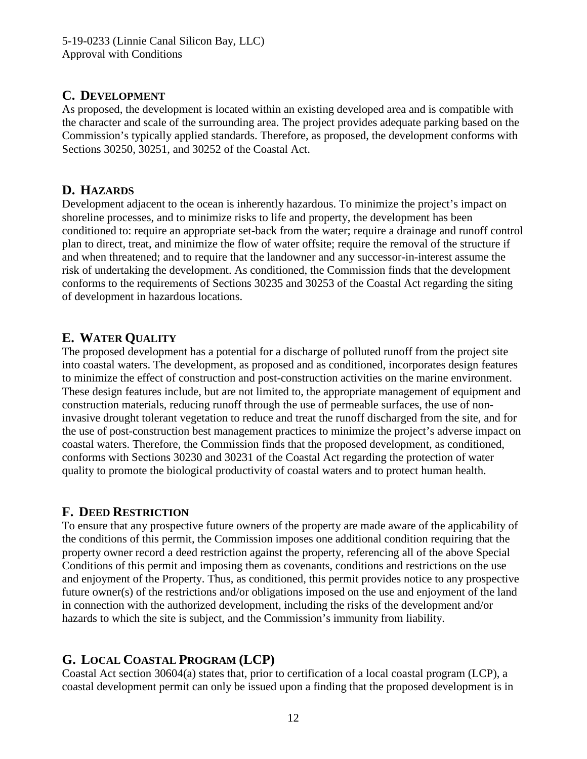## <span id="page-11-0"></span>**C. DEVELOPMENT**

As proposed, the development is located within an existing developed area and is compatible with the character and scale of the surrounding area. The project provides adequate parking based on the Commission's typically applied standards. Therefore, as proposed, the development conforms with Sections 30250, 30251, and 30252 of the Coastal Act.

## <span id="page-11-1"></span>**D. HAZARDS**

Development adjacent to the ocean is inherently hazardous. To minimize the project's impact on shoreline processes, and to minimize risks to life and property, the development has been conditioned to: require an appropriate set-back from the water; require a drainage and runoff control plan to direct, treat, and minimize the flow of water offsite; require the removal of the structure if and when threatened; and to require that the landowner and any successor-in-interest assume the risk of undertaking the development. As conditioned, the Commission finds that the development conforms to the requirements of Sections 30235 and 30253 of the Coastal Act regarding the siting of development in hazardous locations.

# <span id="page-11-2"></span>**E. WATER QUALITY**

The proposed development has a potential for a discharge of polluted runoff from the project site into coastal waters. The development, as proposed and as conditioned, incorporates design features to minimize the effect of construction and post-construction activities on the marine environment. These design features include, but are not limited to, the appropriate management of equipment and construction materials, reducing runoff through the use of permeable surfaces, the use of noninvasive drought tolerant vegetation to reduce and treat the runoff discharged from the site, and for the use of post-construction best management practices to minimize the project's adverse impact on coastal waters. Therefore, the Commission finds that the proposed development, as conditioned, conforms with Sections 30230 and 30231 of the Coastal Act regarding the protection of water quality to promote the biological productivity of coastal waters and to protect human health.

## <span id="page-11-3"></span>**F. DEED RESTRICTION**

To ensure that any prospective future owners of the property are made aware of the applicability of the conditions of this permit, the Commission imposes one additional condition requiring that the property owner record a deed restriction against the property, referencing all of the above Special Conditions of this permit and imposing them as covenants, conditions and restrictions on the use and enjoyment of the Property. Thus, as conditioned, this permit provides notice to any prospective future owner(s) of the restrictions and/or obligations imposed on the use and enjoyment of the land in connection with the authorized development, including the risks of the development and/or hazards to which the site is subject, and the Commission's immunity from liability.

# <span id="page-11-4"></span>**G. LOCAL COASTAL PROGRAM (LCP)**

Coastal Act section 30604(a) states that, prior to certification of a local coastal program (LCP), a coastal development permit can only be issued upon a finding that the proposed development is in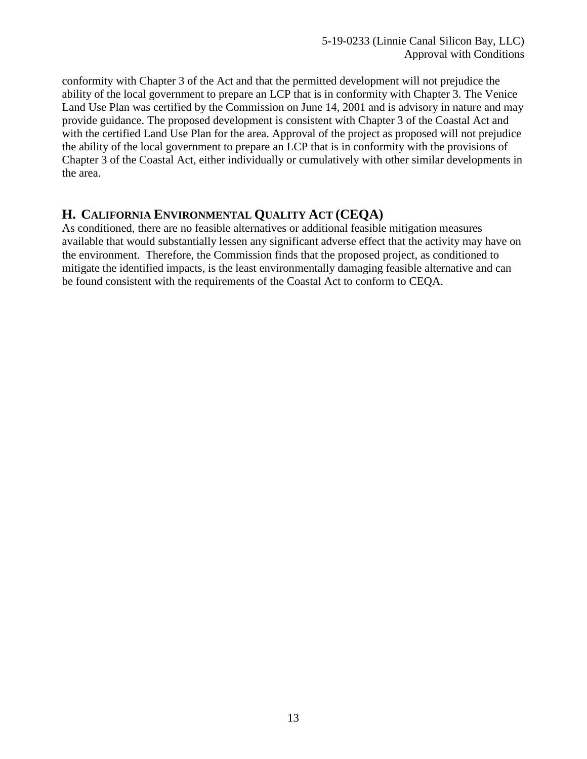conformity with Chapter 3 of the Act and that the permitted development will not prejudice the ability of the local government to prepare an LCP that is in conformity with Chapter 3. The Venice Land Use Plan was certified by the Commission on June 14, 2001 and is advisory in nature and may provide guidance. The proposed development is consistent with Chapter 3 of the Coastal Act and with the certified Land Use Plan for the area. Approval of the project as proposed will not prejudice the ability of the local government to prepare an LCP that is in conformity with the provisions of Chapter 3 of the Coastal Act, either individually or cumulatively with other similar developments in the area.

## <span id="page-12-0"></span>**H. CALIFORNIA ENVIRONMENTAL QUALITY ACT (CEQA)**

As conditioned, there are no feasible alternatives or additional feasible mitigation measures available that would substantially lessen any significant adverse effect that the activity may have on the environment. Therefore, the Commission finds that the proposed project, as conditioned to mitigate the identified impacts, is the least environmentally damaging feasible alternative and can be found consistent with the requirements of the Coastal Act to conform to CEQA.